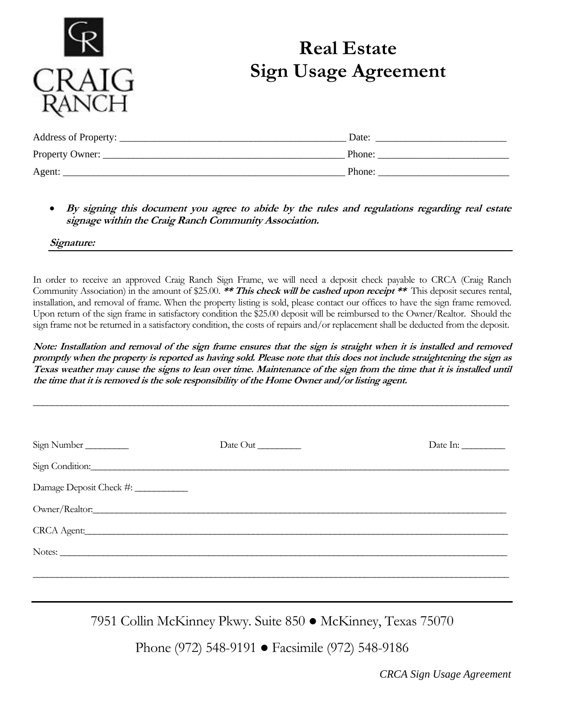

## **Real Estate Sign Usage Agreement**

| Address of Property: | Date:  |
|----------------------|--------|
| Property Owner:      | Phone: |
| Agent:               | Phone: |

• **By signing this document you agree to abide by the rules and regulations regarding real estate signage within the Craig Ranch Community Association.**

**Signature:**

In order to receive an approved Craig Ranch Sign Frame, we will need a deposit check payable to CRCA (Craig Ranch Community Association) in the amount of \$25.00. **\*\* This check will be cashed upon receipt \*\*** This deposit secures rental, installation, and removal of frame. When the property listing is sold, please contact our offices to have the sign frame removed. Upon return of the sign frame in satisfactory condition the \$25.00 deposit will be reimbursed to the Owner/Realtor. Should the sign frame not be returned in a satisfactory condition, the costs of repairs and/or replacement shall be deducted from the deposit.

**Note: Installation and removal of the sign frame ensures that the sign is straight when it is installed and removed promptly when the property is reported as having sold. Please note that this does not include straightening the sign as Texas weather may cause the signs to lean over time. Maintenance of the sign from the time that it is installed until the time that it is removed is the sole responsibility of the Home Owner and/or listing agent.** 

**\_\_\_\_\_\_\_\_\_\_\_\_\_\_\_\_\_\_\_\_\_\_\_\_\_\_\_\_\_\_\_\_\_\_\_\_\_\_\_\_\_\_\_\_\_\_\_\_\_\_\_\_\_\_\_\_\_\_\_\_\_\_\_\_\_\_\_\_\_\_\_\_\_\_\_\_\_\_\_\_\_\_\_\_\_\_\_\_\_\_\_\_\_\_\_\_\_\_\_**

| Sign Number             | Date Out | Date In: |
|-------------------------|----------|----------|
|                         |          |          |
| Damage Deposit Check #: |          |          |
|                         |          |          |
|                         |          |          |
|                         |          |          |
|                         |          |          |
|                         |          |          |

7951 Collin McKinney Pkwy. Suite 850 ● McKinney, Texas 75070

Phone (972) 548-9191 ● Facsimile (972) 548-9186